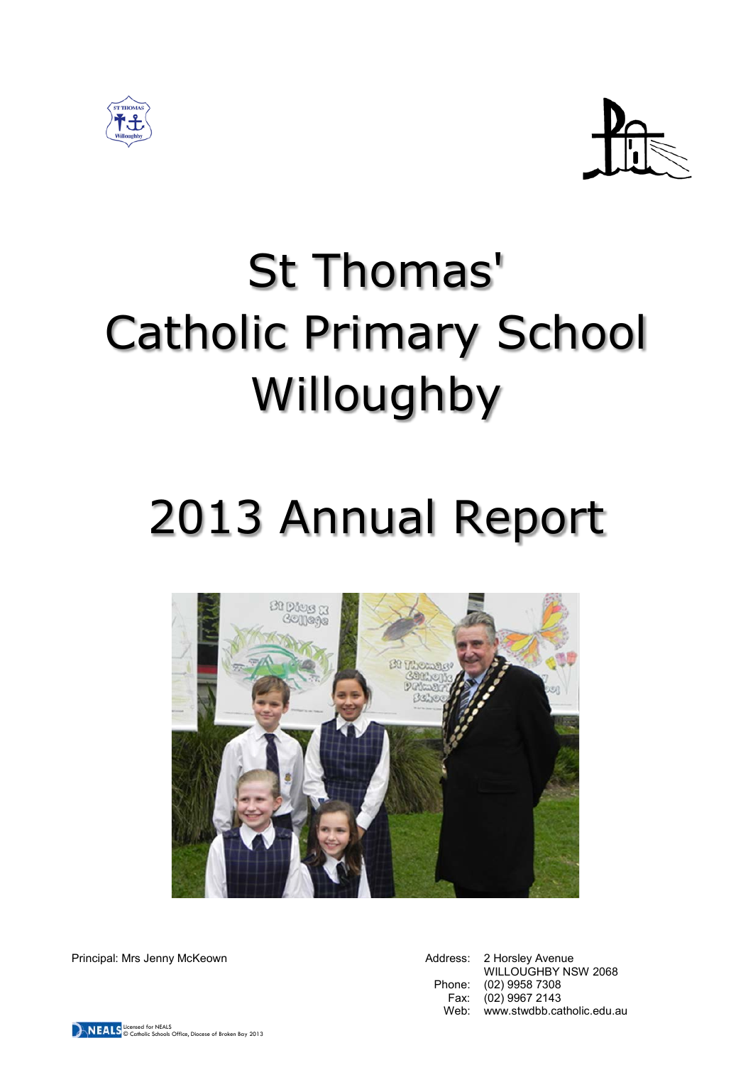



# St Thomas' Catholic Primary School Willoughby

## 2013 Annual Report



Principal: Mrs Jenny McKeown **Address: 2 Horsley Avenue** Address: 2 Horsley Avenue

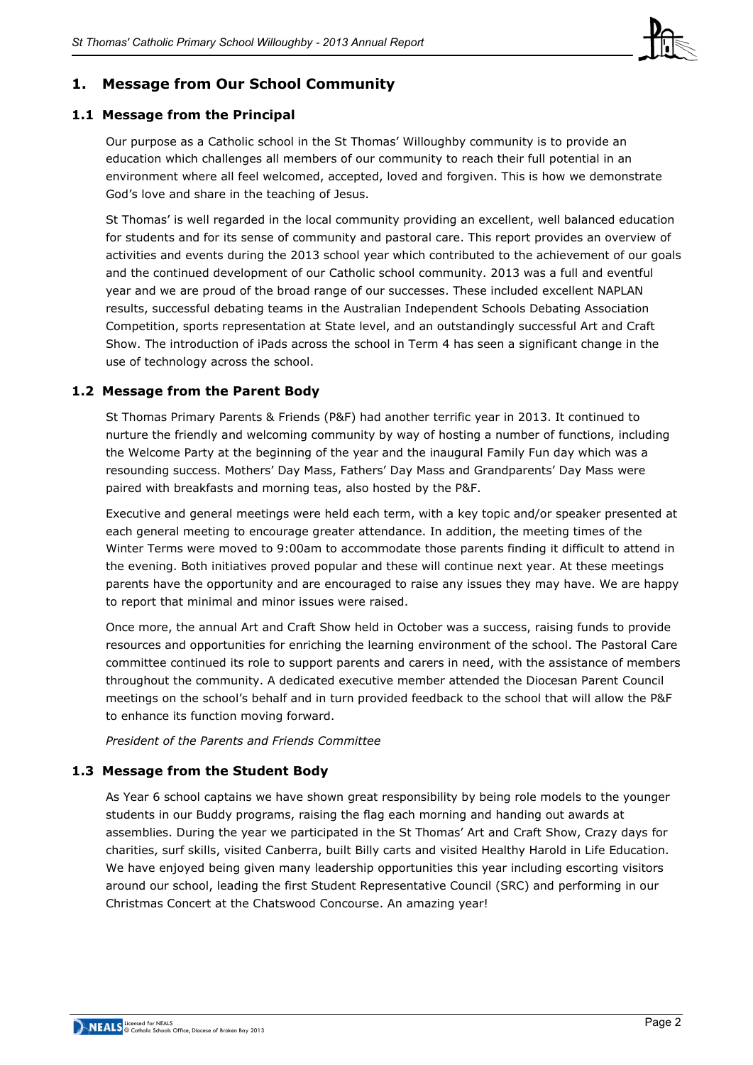

## **1. Message from Our School Community**

## **1.1 Message from the Principal**

Our purpose as a Catholic school in the St Thomas' Willoughby community is to provide an education which challenges all members of our community to reach their full potential in an environment where all feel welcomed, accepted, loved and forgiven. This is how we demonstrate God's love and share in the teaching of Jesus.

St Thomas' is well regarded in the local community providing an excellent, well balanced education for students and for its sense of community and pastoral care. This report provides an overview of activities and events during the 2013 school year which contributed to the achievement of our goals and the continued development of our Catholic school community. 2013 was a full and eventful year and we are proud of the broad range of our successes. These included excellent NAPLAN results, successful debating teams in the Australian Independent Schools Debating Association Competition, sports representation at State level, and an outstandingly successful Art and Craft Show. The introduction of iPads across the school in Term 4 has seen a significant change in the use of technology across the school.

## **1.2 Message from the Parent Body**

St Thomas Primary Parents & Friends (P&F) had another terrific year in 2013. It continued to nurture the friendly and welcoming community by way of hosting a number of functions, including the Welcome Party at the beginning of the year and the inaugural Family Fun day which was a resounding success. Mothers' Day Mass, Fathers' Day Mass and Grandparents' Day Mass were paired with breakfasts and morning teas, also hosted by the P&F.

Executive and general meetings were held each term, with a key topic and/or speaker presented at each general meeting to encourage greater attendance. In addition, the meeting times of the Winter Terms were moved to 9:00am to accommodate those parents finding it difficult to attend in the evening. Both initiatives proved popular and these will continue next year. At these meetings parents have the opportunity and are encouraged to raise any issues they may have. We are happy to report that minimal and minor issues were raised.

Once more, the annual Art and Craft Show held in October was a success, raising funds to provide resources and opportunities for enriching the learning environment of the school. The Pastoral Care committee continued its role to support parents and carers in need, with the assistance of members throughout the community. A dedicated executive member attended the Diocesan Parent Council meetings on the school's behalf and in turn provided feedback to the school that will allow the P&F to enhance its function moving forward.

*President of the Parents and Friends Committee*

## **1.3 Message from the Student Body**

As Year 6 school captains we have shown great responsibility by being role models to the younger students in our Buddy programs, raising the flag each morning and handing out awards at assemblies. During the year we participated in the St Thomas' Art and Craft Show, Crazy days for charities, surf skills, visited Canberra, built Billy carts and visited Healthy Harold in Life Education. We have enjoyed being given many leadership opportunities this year including escorting visitors around our school, leading the first Student Representative Council (SRC) and performing in our Christmas Concert at the Chatswood Concourse. An amazing year!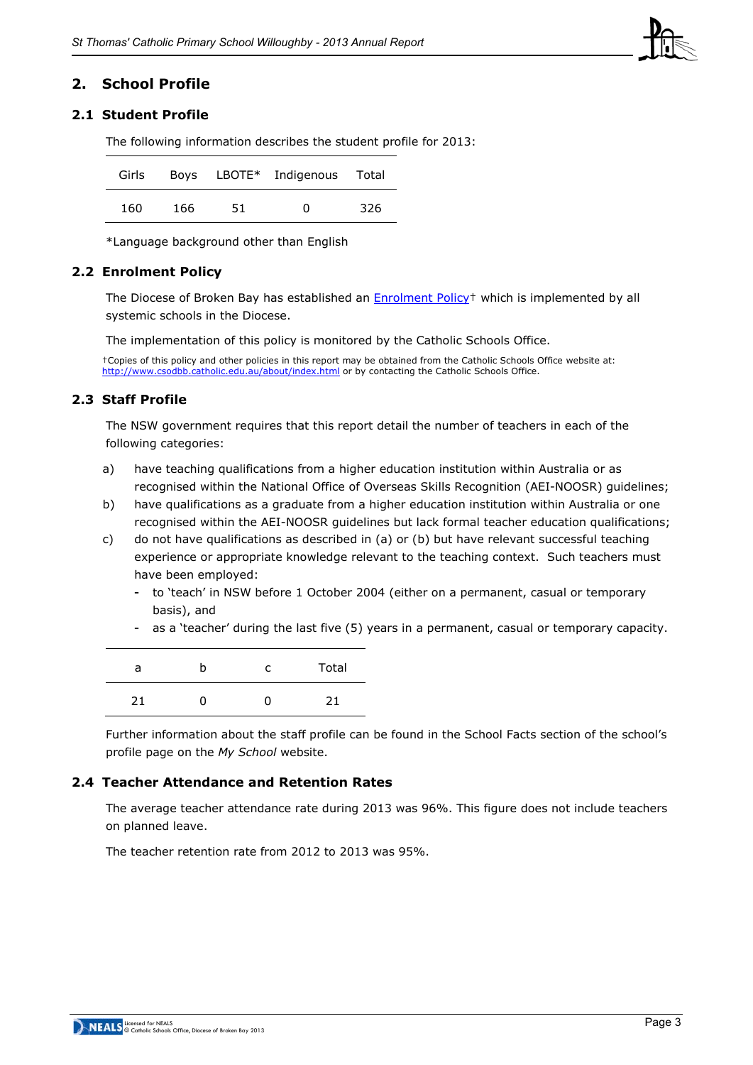

## **2. School Profile**

## **2.1 Student Profile**

The following information describes the student profile for 2013:

|     |     |     | Girls Boys LBOTE* Indigenous Total |     |
|-----|-----|-----|------------------------------------|-----|
| 160 | 166 | 51. | O                                  | 326 |

\*Language background other than English

#### **2.2 Enrolment Policy**

The Diocese of Broken Bay has established an [Enrolment Policy†](http://www.csodbb.catholic.edu.au/_uploads/rsfil/001137_cfbf.pdf) which is implemented by all systemic schools in the Diocese.

The implementation of this policy is monitored by the Catholic Schools Office.

†Copies of this policy and other policies in this report may be obtained from the Catholic Schools Office website at: <http://www.csodbb.catholic.edu.au/about/index.html> or by contacting the Catholic Schools Office.

#### **2.3 Staff Profile**

The NSW government requires that this report detail the number of teachers in each of the following categories:

- a) have teaching qualifications from a higher education institution within Australia or as recognised within the National Office of Overseas Skills Recognition (AEI-NOOSR) guidelines;
- b) have qualifications as a graduate from a higher education institution within Australia or one recognised within the AEI-NOOSR guidelines but lack formal teacher education qualifications;
- c) do not have qualifications as described in (a) or (b) but have relevant successful teaching experience or appropriate knowledge relevant to the teaching context. Such teachers must have been employed:
	- to 'teach' in NSW before 1 October 2004 (either on a permanent, casual or temporary basis), and
	- as a 'teacher' during the last five (5) years in a permanent, casual or temporary capacity.

| a  | C. | Total |
|----|----|-------|
| 21 | 0  | 71    |

Further information about the staff profile can be found in the School Facts section of the school's profile page on the *My School* website.

#### **2.4 Teacher Attendance and Retention Rates**

The average teacher attendance rate during 2013 was 96%. This figure does not include teachers on planned leave.

The teacher retention rate from 2012 to 2013 was 95%.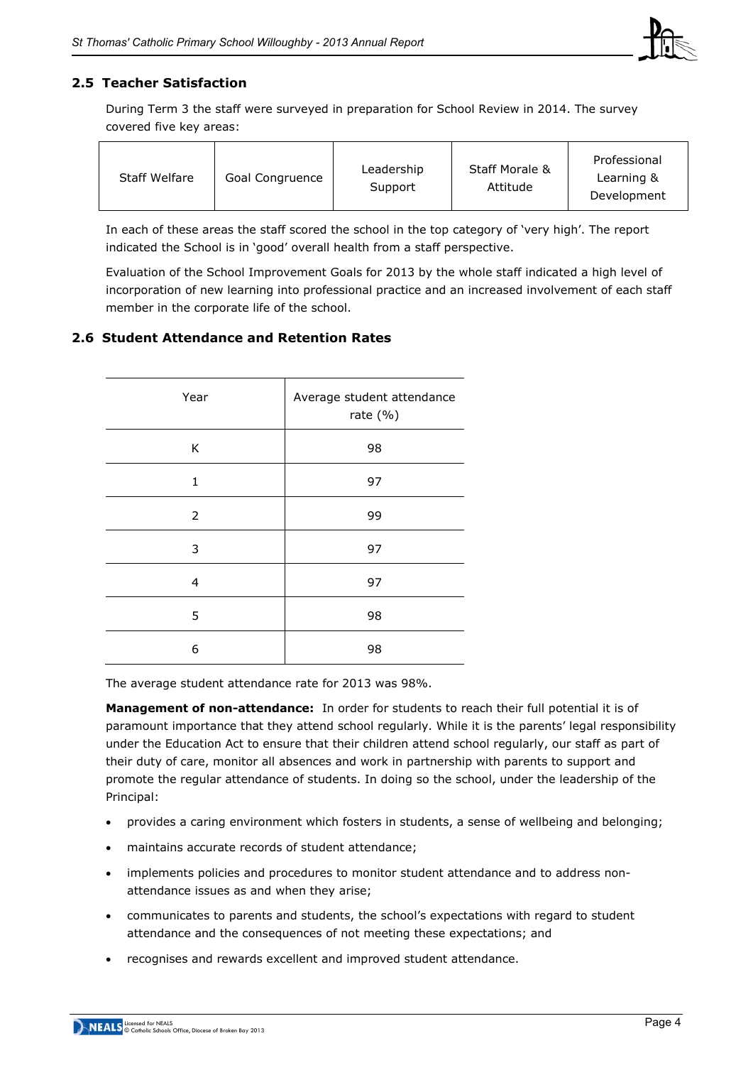

## **2.5 Teacher Satisfaction**

During Term 3 the staff were surveyed in preparation for School Review in 2014. The survey covered five key areas:

| <b>Staff Welfare</b> | Goal Congruence | Leadership<br>Support | <b>Staff Morale &amp;</b><br>Attitude | Professional<br>Learning &<br>Development |
|----------------------|-----------------|-----------------------|---------------------------------------|-------------------------------------------|
|----------------------|-----------------|-----------------------|---------------------------------------|-------------------------------------------|

In each of these areas the staff scored the school in the top category of 'very high'. The report indicated the School is in 'good' overall health from a staff perspective.

Evaluation of the School Improvement Goals for 2013 by the whole staff indicated a high level of incorporation of new learning into professional practice and an increased involvement of each staff member in the corporate life of the school.

## **2.6 Student Attendance and Retention Rates**

| Year           | Average student attendance<br>rate $(\% )$ |
|----------------|--------------------------------------------|
| K              | 98                                         |
| 1              | 97                                         |
| $\overline{2}$ | 99                                         |
| 3              | 97                                         |
| 4              | 97                                         |
| 5              | 98                                         |
| 6              | 98                                         |

The average student attendance rate for 2013 was 98%.

**Management of non-attendance:** In order for students to reach their full potential it is of paramount importance that they attend school regularly. While it is the parents' legal responsibility under the Education Act to ensure that their children attend school regularly, our staff as part of their duty of care, monitor all absences and work in partnership with parents to support and promote the regular attendance of students. In doing so the school, under the leadership of the Principal:

- provides a caring environment which fosters in students, a sense of wellbeing and belonging;
- maintains accurate records of student attendance;
- implements policies and procedures to monitor student attendance and to address nonattendance issues as and when they arise;
- communicates to parents and students, the school's expectations with regard to student attendance and the consequences of not meeting these expectations; and
- recognises and rewards excellent and improved student attendance.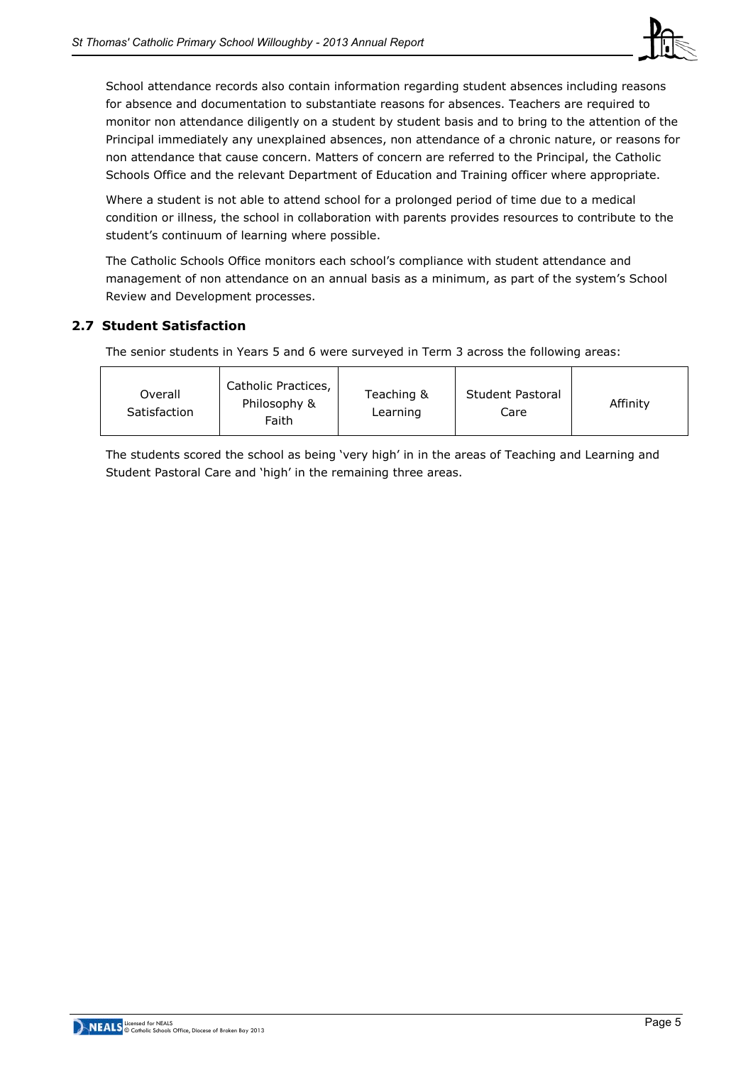

School attendance records also contain information regarding student absences including reasons for absence and documentation to substantiate reasons for absences. Teachers are required to monitor non attendance diligently on a student by student basis and to bring to the attention of the Principal immediately any unexplained absences, non attendance of a chronic nature, or reasons for non attendance that cause concern. Matters of concern are referred to the Principal, the Catholic Schools Office and the relevant Department of Education and Training officer where appropriate.

Where a student is not able to attend school for a prolonged period of time due to a medical condition or illness, the school in collaboration with parents provides resources to contribute to the student's continuum of learning where possible.

The Catholic Schools Office monitors each school's compliance with student attendance and management of non attendance on an annual basis as a minimum, as part of the system's School Review and Development processes.

## **2.7 Student Satisfaction**

The senior students in Years 5 and 6 were surveyed in Term 3 across the following areas:

| Overall<br>Satisfaction | Catholic Practices,<br>Philosophy &<br>Faith | Teaching &<br>Learning | Student Pastoral<br>Care | Affinity |
|-------------------------|----------------------------------------------|------------------------|--------------------------|----------|
|-------------------------|----------------------------------------------|------------------------|--------------------------|----------|

The students scored the school as being 'very high' in in the areas of Teaching and Learning and Student Pastoral Care and 'high' in the remaining three areas.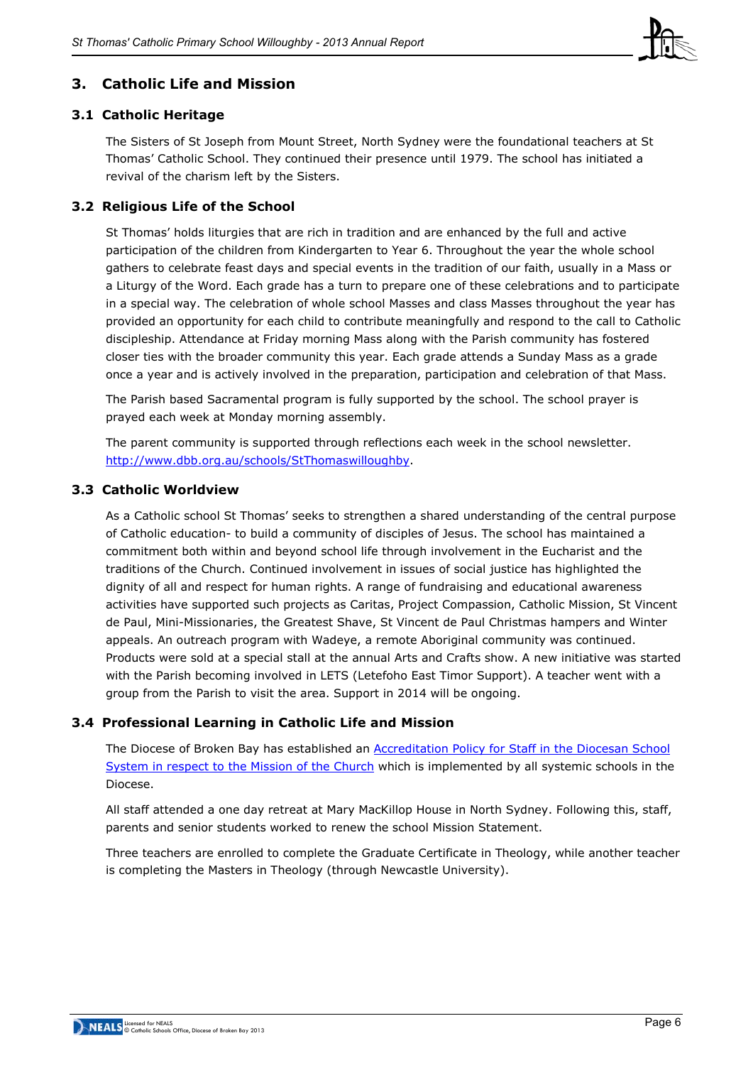

## **3. Catholic Life and Mission**

## **3.1 Catholic Heritage**

The Sisters of St Joseph from Mount Street, North Sydney were the foundational teachers at St Thomas' Catholic School. They continued their presence until 1979. The school has initiated a revival of the charism left by the Sisters.

## **3.2 Religious Life of the School**

St Thomas' holds liturgies that are rich in tradition and are enhanced by the full and active participation of the children from Kindergarten to Year 6. Throughout the year the whole school gathers to celebrate feast days and special events in the tradition of our faith, usually in a Mass or a Liturgy of the Word. Each grade has a turn to prepare one of these celebrations and to participate in a special way. The celebration of whole school Masses and class Masses throughout the year has provided an opportunity for each child to contribute meaningfully and respond to the call to Catholic discipleship. Attendance at Friday morning Mass along with the Parish community has fostered closer ties with the broader community this year. Each grade attends a Sunday Mass as a grade once a year and is actively involved in the preparation, participation and celebration of that Mass.

The Parish based Sacramental program is fully supported by the school. The school prayer is prayed each week at Monday morning assembly.

The parent community is supported through reflections each week in the school newsletter. [http://www.dbb.org.au/schools/StThomaswilloughby.](http://www.dbb.org.au/schools/StThomaswilloughby)

## **3.3 Catholic Worldview**

As a Catholic school St Thomas' seeks to strengthen a shared understanding of the central purpose of Catholic education- to build a community of disciples of Jesus. The school has maintained a commitment both within and beyond school life through involvement in the Eucharist and the traditions of the Church. Continued involvement in issues of social justice has highlighted the dignity of all and respect for human rights. A range of fundraising and educational awareness activities have supported such projects as Caritas, Project Compassion, Catholic Mission, St Vincent de Paul, Mini-Missionaries, the Greatest Shave, St Vincent de Paul Christmas hampers and Winter appeals. An outreach program with Wadeye, a remote Aboriginal community was continued. Products were sold at a special stall at the annual Arts and Crafts show. A new initiative was started with the Parish becoming involved in LETS (Letefoho East Timor Support). A teacher went with a group from the Parish to visit the area. Support in 2014 will be ongoing.

## **3.4 Professional Learning in Catholic Life and Mission**

The Diocese of Broken Bay has established an [Accreditation Policy for Staff in the Diocesan School](http://www.csodbb.catholic.edu.au/resources/pdfs/Policy-Rqs_Accrd_Tchrs_RE.pdf)  [System in respect to the Mission of the Church](http://www.csodbb.catholic.edu.au/resources/pdfs/Policy-Rqs_Accrd_Tchrs_RE.pdf) which is implemented by all systemic schools in the Diocese.

All staff attended a one day retreat at Mary MacKillop House in North Sydney. Following this, staff, parents and senior students worked to renew the school Mission Statement.

Three teachers are enrolled to complete the Graduate Certificate in Theology, while another teacher is completing the Masters in Theology (through Newcastle University).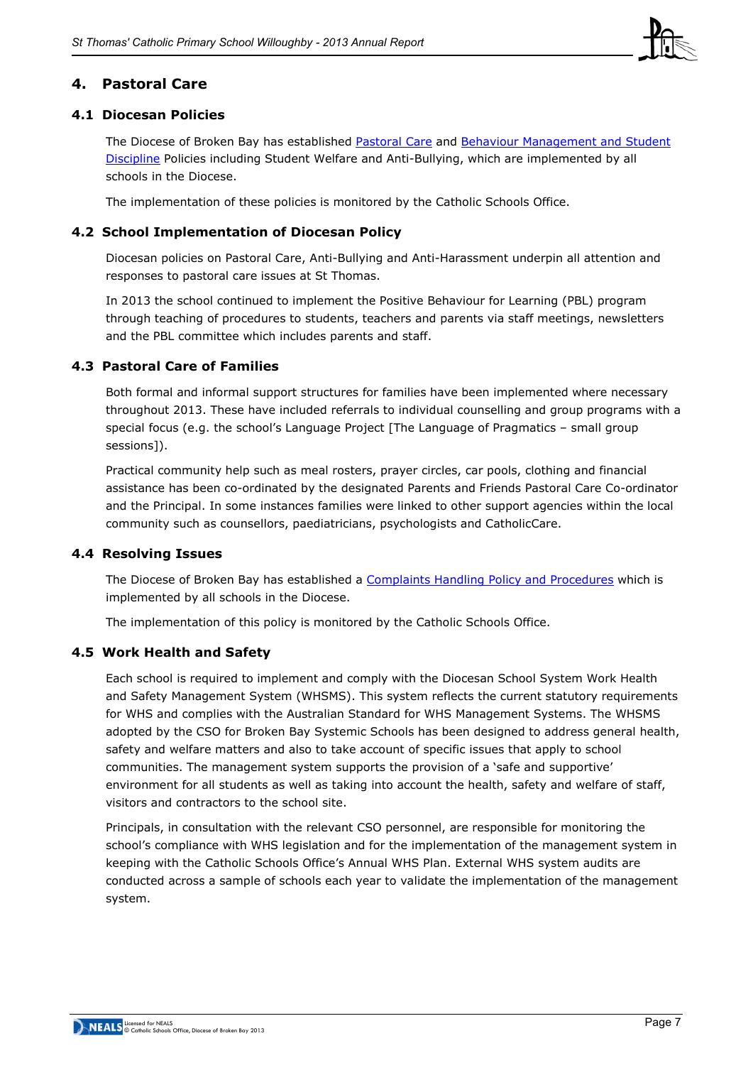#### **4. Pastoral Care**

#### **4.1 Diocesan Policies**

The Diocese of Broken Bay has established [Pastoral Care](http://www.csodbb.catholic.edu.au/_uploads/rsfil/002274_ceac.pdf) and Behaviour Management and Student [Discipline](http://www.csodbb.catholic.edu.au/_uploads/rsfil/001133_cffd.pdf) Policies including Student Welfare and Anti-Bullying, which are implemented by all schools in the Diocese.

The implementation of these policies is monitored by the Catholic Schools Office.

#### **4.2 School Implementation of Diocesan Policy**

Diocesan policies on Pastoral Care, Anti-Bullying and Anti-Harassment underpin all attention and responses to pastoral care issues at St Thomas.

In 2013 the school continued to implement the Positive Behaviour for Learning (PBL) program through teaching of procedures to students, teachers and parents via staff meetings, newsletters and the PBL committee which includes parents and staff.

#### **4.3 Pastoral Care of Families**

Both formal and informal support structures for families have been implemented where necessary throughout 2013. These have included referrals to individual counselling and group programs with a special focus (e.g. the school's Language Project [The Language of Pragmatics – small group sessions]).

Practical community help such as meal rosters, prayer circles, car pools, clothing and financial assistance has been co-ordinated by the designated Parents and Friends Pastoral Care Co-ordinator and the Principal. In some instances families were linked to other support agencies within the local community such as counsellors, paediatricians, psychologists and CatholicCare.

#### **4.4 Resolving Issues**

The Diocese of Broken Bay has established a [Complaints Handling Policy](http://www.csodbb.catholic.edu.au/_uploads/rsfil/001134_ceae.pdf) and Procedures which is implemented by all schools in the Diocese.

The implementation of this policy is monitored by the Catholic Schools Office.

#### **4.5 Work Health and Safety**

Each school is required to implement and comply with the Diocesan School System Work Health and Safety Management System (WHSMS). This system reflects the current statutory requirements for WHS and complies with the Australian Standard for WHS Management Systems. The WHSMS adopted by the CSO for Broken Bay Systemic Schools has been designed to address general health, safety and welfare matters and also to take account of specific issues that apply to school communities. The management system supports the provision of a 'safe and supportive' environment for all students as well as taking into account the health, safety and welfare of staff, visitors and contractors to the school site.

Principals, in consultation with the relevant CSO personnel, are responsible for monitoring the school's compliance with WHS legislation and for the implementation of the management system in keeping with the Catholic Schools Office's Annual WHS Plan. External WHS system audits are conducted across a sample of schools each year to validate the implementation of the management system.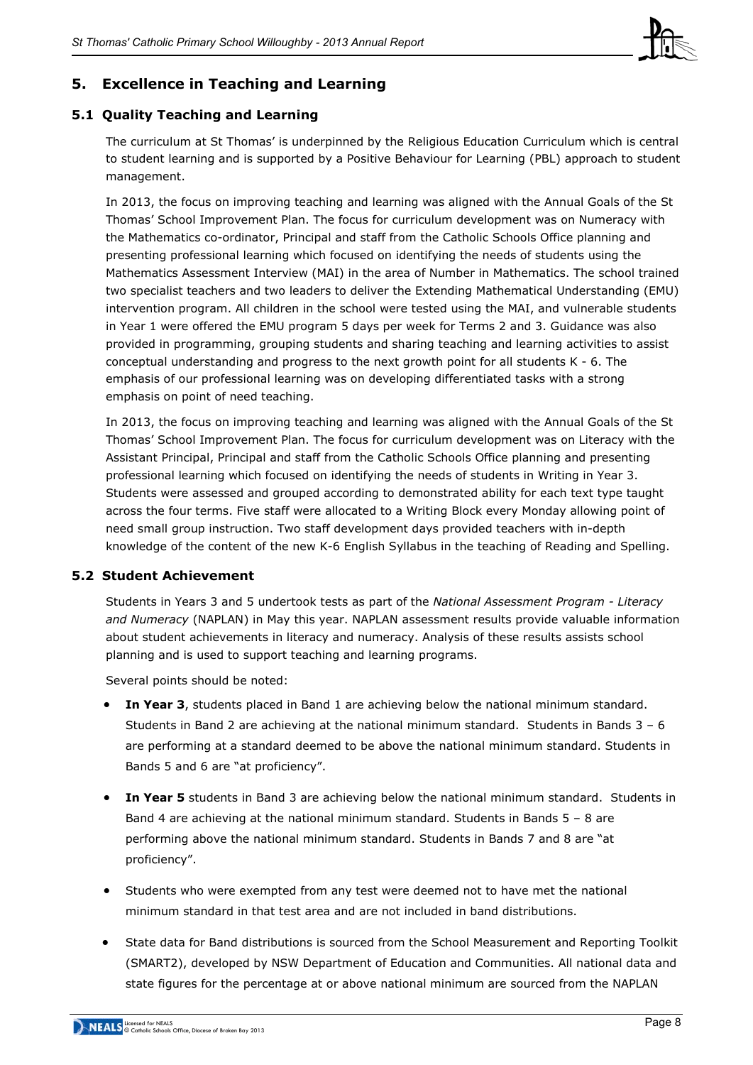

## **5. Excellence in Teaching and Learning**

## **5.1 Quality Teaching and Learning**

The curriculum at St Thomas' is underpinned by the Religious Education Curriculum which is central to student learning and is supported by a Positive Behaviour for Learning (PBL) approach to student management.

In 2013, the focus on improving teaching and learning was aligned with the Annual Goals of the St Thomas' School Improvement Plan. The focus for curriculum development was on Numeracy with the Mathematics co-ordinator, Principal and staff from the Catholic Schools Office planning and presenting professional learning which focused on identifying the needs of students using the Mathematics Assessment Interview (MAI) in the area of Number in Mathematics. The school trained two specialist teachers and two leaders to deliver the Extending Mathematical Understanding (EMU) intervention program. All children in the school were tested using the MAI, and vulnerable students in Year 1 were offered the EMU program 5 days per week for Terms 2 and 3. Guidance was also provided in programming, grouping students and sharing teaching and learning activities to assist conceptual understanding and progress to the next growth point for all students K - 6. The emphasis of our professional learning was on developing differentiated tasks with a strong emphasis on point of need teaching.

In 2013, the focus on improving teaching and learning was aligned with the Annual Goals of the St Thomas' School Improvement Plan. The focus for curriculum development was on Literacy with the Assistant Principal, Principal and staff from the Catholic Schools Office planning and presenting professional learning which focused on identifying the needs of students in Writing in Year 3. Students were assessed and grouped according to demonstrated ability for each text type taught across the four terms. Five staff were allocated to a Writing Block every Monday allowing point of need small group instruction. Two staff development days provided teachers with in-depth knowledge of the content of the new K-6 English Syllabus in the teaching of Reading and Spelling.

## **5.2 Student Achievement**

Students in Years 3 and 5 undertook tests as part of the *National Assessment Program - Literacy and Numeracy* (NAPLAN) in May this year. NAPLAN assessment results provide valuable information about student achievements in literacy and numeracy. Analysis of these results assists school planning and is used to support teaching and learning programs.

Several points should be noted:

- **In Year 3**, students placed in Band 1 are achieving below the national minimum standard. Students in Band 2 are achieving at the national minimum standard. Students in Bands  $3 - 6$ are performing at a standard deemed to be above the national minimum standard. Students in Bands 5 and 6 are "at proficiency".
- **In Year 5** students in Band 3 are achieving below the national minimum standard. Students in Band 4 are achieving at the national minimum standard. Students in Bands 5 – 8 are performing above the national minimum standard. Students in Bands 7 and 8 are "at proficiency".
- Students who were exempted from any test were deemed not to have met the national minimum standard in that test area and are not included in band distributions.
- State data for Band distributions is sourced from the School Measurement and Reporting Toolkit (SMART2), developed by NSW Department of Education and Communities. All national data and state figures for the percentage at or above national minimum are sourced from the NAPLAN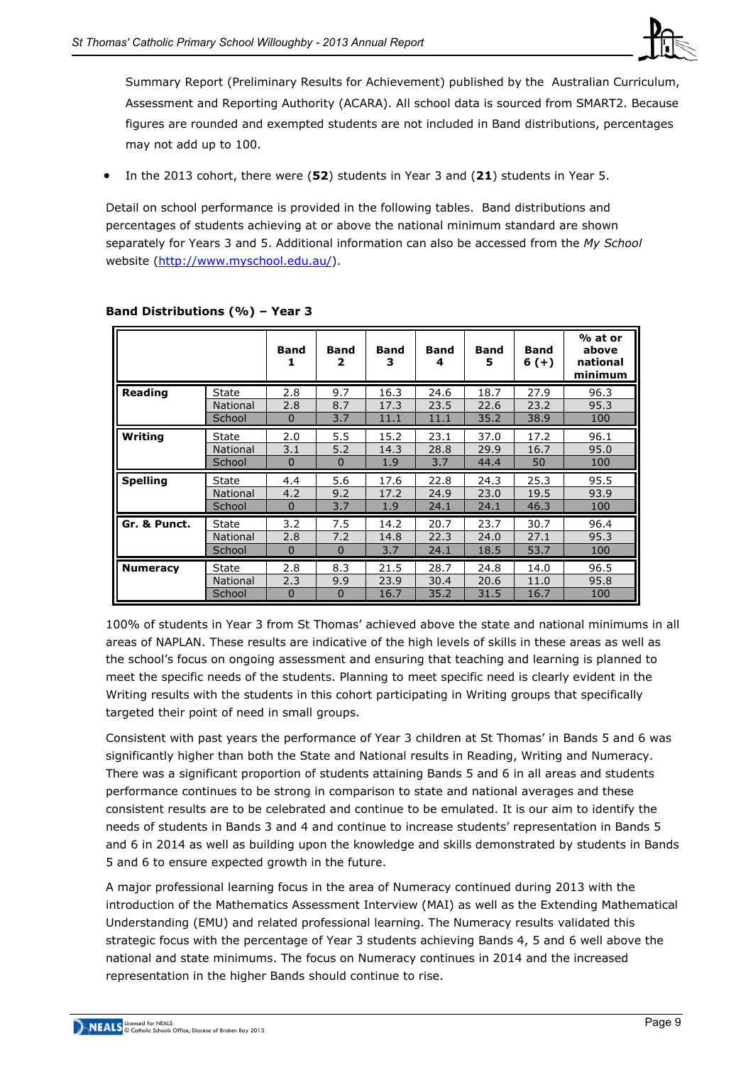

Summary Report (Preliminary Results for Achievement) published by the Australian Curriculum, Assessment and Reporting Authority (ACARA). All school data is sourced from SMART2. Because figures are rounded and exempted students are not included in Band distributions, percentages may not add up to 100.

x In the 2013 cohort, there were (**52**) students in Year 3 and (**21**) students in Year 5.

Detail on school performance is provided in the following tables. Band distributions and percentages of students achieving at or above the national minimum standard are shown separately for Years 3 and 5. Additional information can also be accessed from the *My School* website [\(http://www.myschool.edu.au/\)](http://www.myschool.edu.au/).

|                 |                 | <b>Band</b> | <b>Band</b><br>2 | <b>Band</b><br>3 | <b>Band</b><br>4 | <b>Band</b><br>5 | <b>Band</b><br>$6 (+)$ | % at or<br>above<br>national<br>minimum |
|-----------------|-----------------|-------------|------------------|------------------|------------------|------------------|------------------------|-----------------------------------------|
| Reading         | State           | 2.8         | 9.7              | 16.3             | 24.6             | 18.7             | 27.9                   | 96.3                                    |
|                 | <b>National</b> | 2.8         | 8.7              | 17.3             | 23.5             | 22.6             | 23.2                   | 95.3                                    |
|                 | School          | 0           | 3.7              | 11.1             | 11.1             | 35.2             | 38.9                   | 100                                     |
| Writing         | <b>State</b>    | 2.0         | 5.5              | 15.2             | 23.1             | 37.0             | 17.2                   | 96.1                                    |
|                 | <b>National</b> | 3.1         | 5.2              | 14.3             | 28.8             | 29.9             | 16.7                   | 95.0                                    |
|                 | School          | $\Omega$    | $\Omega$         | 1.9              | 3.7              | 44.4             | 50                     | 100                                     |
| <b>Spelling</b> | <b>State</b>    | 4.4         | 5.6              | 17.6             | 22.8             | 24.3             | 25.3                   | 95.5                                    |
|                 | <b>National</b> | 4.2         | 9.2              | 17.2             | 24.9             | 23.0             | 19.5                   | 93.9                                    |
|                 | School          | $\mathbf 0$ | 3.7              | 1.9              | 24.1             | 24.1             | 46.3                   | 100                                     |
| Gr. & Punct.    | State           | 3.2         | 7.5              | 14.2             | 20.7             | 23.7             | 30.7                   | 96.4                                    |
|                 | <b>National</b> | 2.8         | 7.2              | 14.8             | 22.3             | 24.0             | 27.1                   | 95.3                                    |
|                 | School          | $\Omega$    | $\mathbf 0$      | 3.7              | 24.1             | 18.5             | 53.7                   | 100                                     |
| <b>Numeracy</b> | State           | 2.8         | 8.3              | 21.5             | 28.7             | 24.8             | 14.0                   | 96.5                                    |
|                 | <b>National</b> | 2.3         | 9.9              | 23.9             | 30.4             | 20.6             | 11.0                   | 95.8                                    |
|                 | School          | 0           | $\mathbf 0$      | 16.7             | 35.2             | 31.5             | 16.7                   | 100                                     |

#### **Band Distributions (%) – Year 3**

100% of students in Year 3 from St Thomas' achieved above the state and national minimums in all areas of NAPLAN. These results are indicative of the high levels of skills in these areas as well as the school's focus on ongoing assessment and ensuring that teaching and learning is planned to meet the specific needs of the students. Planning to meet specific need is clearly evident in the Writing results with the students in this cohort participating in Writing groups that specifically targeted their point of need in small groups.

Consistent with past years the performance of Year 3 children at St Thomas' in Bands 5 and 6 was significantly higher than both the State and National results in Reading, Writing and Numeracy. There was a significant proportion of students attaining Bands 5 and 6 in all areas and students performance continues to be strong in comparison to state and national averages and these consistent results are to be celebrated and continue to be emulated. It is our aim to identify the needs of students in Bands 3 and 4 and continue to increase students' representation in Bands 5 and 6 in 2014 as well as building upon the knowledge and skills demonstrated by students in Bands 5 and 6 to ensure expected growth in the future.

A major professional learning focus in the area of Numeracy continued during 2013 with the introduction of the Mathematics Assessment Interview (MAI) as well as the Extending Mathematical Understanding (EMU) and related professional learning. The Numeracy results validated this strategic focus with the percentage of Year 3 students achieving Bands 4, 5 and 6 well above the national and state minimums. The focus on Numeracy continues in 2014 and the increased representation in the higher Bands should continue to rise.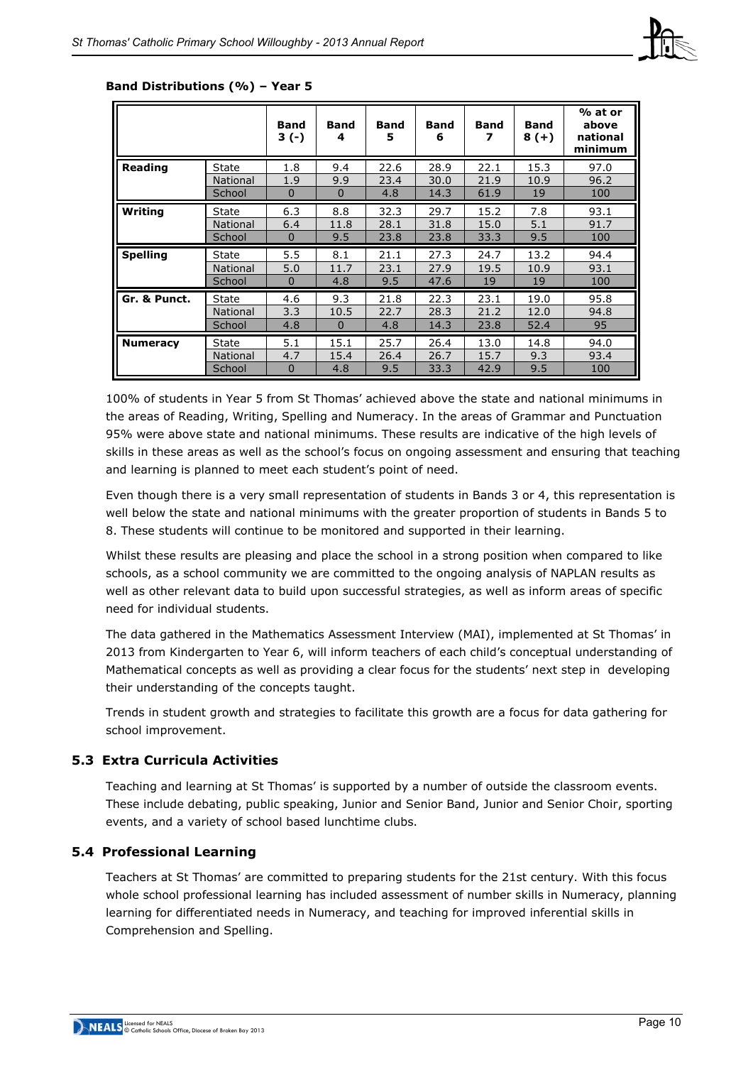

|                 |                 | Band<br>$3(-)$ | <b>Band</b><br>4 | <b>Band</b><br>5 | <b>Band</b><br>6 | <b>Band</b><br>7 | <b>Band</b><br>$8(+)$ | % at or<br>above<br>national<br>minimum |
|-----------------|-----------------|----------------|------------------|------------------|------------------|------------------|-----------------------|-----------------------------------------|
| Reading         | <b>State</b>    | 1.8            | 9.4              | 22.6             | 28.9             | 22.1             | 15.3                  | 97.0                                    |
|                 | National        | 1.9            | 9.9              | 23.4             | 30.0             | 21.9             | 10.9                  | 96.2                                    |
|                 | School          | $\mathbf 0$    | $\mathbf 0$      | 4.8              | 14.3             | 61.9             | 19                    | 100                                     |
| Writing         | State           | 6.3            | 8.8              | 32.3             | 29.7             | 15.2             | 7.8                   | 93.1                                    |
|                 | National        | 6.4            | 11.8             | 28.1             | 31.8             | 15.0             | 5.1                   | 91.7                                    |
|                 | School          | $\mathbf 0$    | 9.5              | 23.8             | 23.8             | 33.3             | 9.5                   | 100                                     |
| <b>Spelling</b> | State           | 5.5            | 8.1              | 21.1             | 27.3             | 24.7             | 13.2                  | 94.4                                    |
|                 | National        | 5.0            | 11.7             | 23.1             | 27.9             | 19.5             | 10.9                  | 93.1                                    |
|                 |                 |                |                  |                  |                  |                  |                       |                                         |
|                 | School          | $\mathbf 0$    | 4.8              | 9.5              | 47.6             | 19               | 19                    | 100                                     |
| Gr. & Punct.    | State           | 4.6            | 9.3              | 21.8             | 22.3             | 23.1             | 19.0                  | 95.8                                    |
|                 | <b>National</b> | 3.3            | 10.5             | 22.7             | 28.3             | 21.2             | 12.0                  | 94.8                                    |
|                 | School          | 4.8            | $\mathbf 0$      | 4.8              | 14.3             | 23.8             | 52.4                  | 95                                      |
| <b>Numeracy</b> | State           | 5.1            | 15.1             | 25.7             | 26.4             | 13.0             | 14.8                  | 94.0                                    |
|                 | <b>National</b> | 4.7            | 15.4             | 26.4             | 26.7             | 15.7             | 9.3                   | 93.4                                    |

#### **Band Distributions (%) – Year 5**

100% of students in Year 5 from St Thomas' achieved above the state and national minimums in the areas of Reading, Writing, Spelling and Numeracy. In the areas of Grammar and Punctuation 95% were above state and national minimums. These results are indicative of the high levels of skills in these areas as well as the school's focus on ongoing assessment and ensuring that teaching and learning is planned to meet each student's point of need.

Even though there is a very small representation of students in Bands 3 or 4, this representation is well below the state and national minimums with the greater proportion of students in Bands 5 to 8. These students will continue to be monitored and supported in their learning.

Whilst these results are pleasing and place the school in a strong position when compared to like schools, as a school community we are committed to the ongoing analysis of NAPLAN results as well as other relevant data to build upon successful strategies, as well as inform areas of specific need for individual students.

The data gathered in the Mathematics Assessment Interview (MAI), implemented at St Thomas' in 2013 from Kindergarten to Year 6, will inform teachers of each child's conceptual understanding of Mathematical concepts as well as providing a clear focus for the students' next step in developing their understanding of the concepts taught.

Trends in student growth and strategies to facilitate this growth are a focus for data gathering for school improvement.

#### **5.3 Extra Curricula Activities**

Teaching and learning at St Thomas' is supported by a number of outside the classroom events. These include debating, public speaking, Junior and Senior Band, Junior and Senior Choir, sporting events, and a variety of school based lunchtime clubs.

## **5.4 Professional Learning**

Teachers at St Thomas' are committed to preparing students for the 21st century. With this focus whole school professional learning has included assessment of number skills in Numeracy, planning learning for differentiated needs in Numeracy, and teaching for improved inferential skills in Comprehension and Spelling.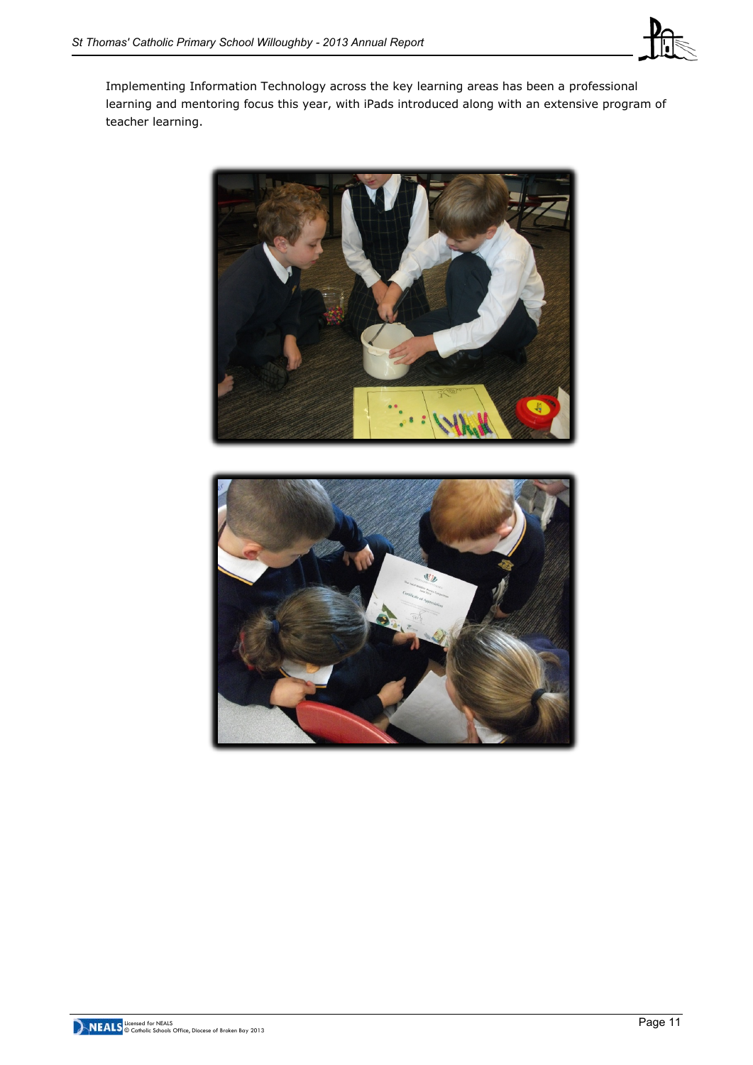

Implementing Information Technology across the key learning areas has been a professional learning and mentoring focus this year, with iPads introduced along with an extensive program of teacher learning.



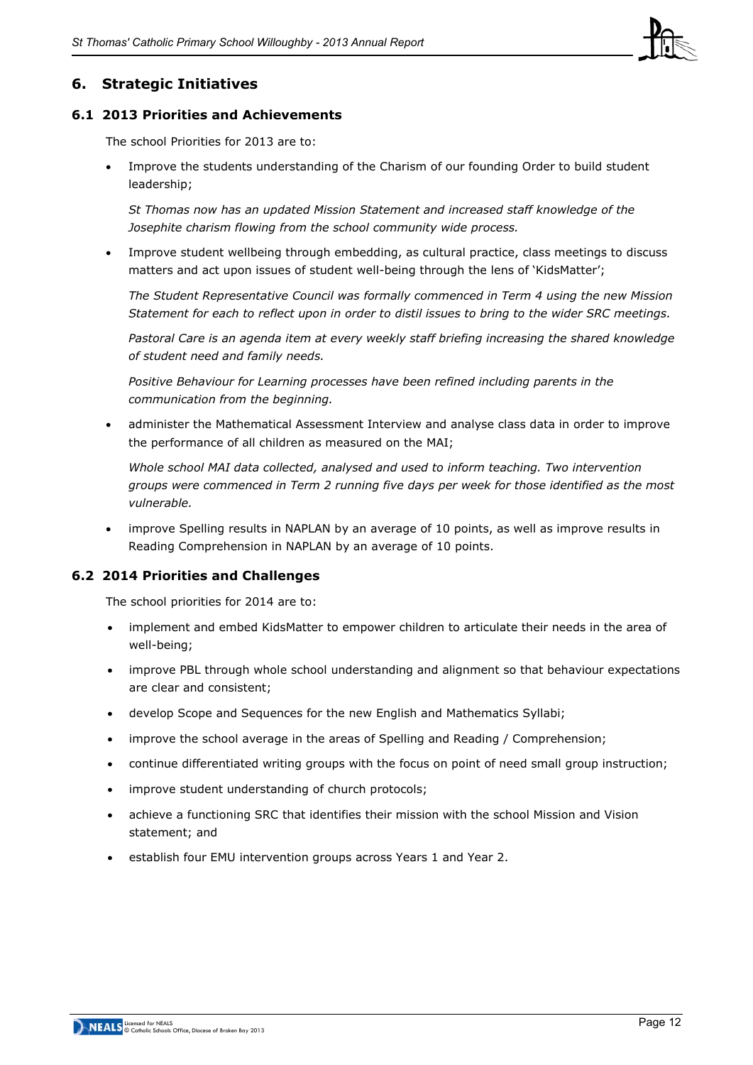

## **6. Strategic Initiatives**

#### **6.1 2013 Priorities and Achievements**

The school Priorities for 2013 are to:

Improve the students understanding of the Charism of our founding Order to build student leadership;

*St Thomas now has an updated Mission Statement and increased staff knowledge of the Josephite charism flowing from the school community wide process.*

Improve student wellbeing through embedding, as cultural practice, class meetings to discuss matters and act upon issues of student well-being through the lens of 'KidsMatter';

*The Student Representative Council was formally commenced in Term 4 using the new Mission Statement for each to reflect upon in order to distil issues to bring to the wider SRC meetings.*

*Pastoral Care is an agenda item at every weekly staff briefing increasing the shared knowledge of student need and family needs.*

*Positive Behaviour for Learning processes have been refined including parents in the communication from the beginning.*

administer the Mathematical Assessment Interview and analyse class data in order to improve the performance of all children as measured on the MAI;

*Whole school MAI data collected, analysed and used to inform teaching. Two intervention groups were commenced in Term 2 running five days per week for those identified as the most vulnerable.*

improve Spelling results in NAPLAN by an average of 10 points, as well as improve results in Reading Comprehension in NAPLAN by an average of 10 points.

#### **6.2 2014 Priorities and Challenges**

The school priorities for 2014 are to:

- implement and embed KidsMatter to empower children to articulate their needs in the area of well-being;
- improve PBL through whole school understanding and alignment so that behaviour expectations are clear and consistent;
- develop Scope and Sequences for the new English and Mathematics Syllabi;
- improve the school average in the areas of Spelling and Reading / Comprehension;
- continue differentiated writing groups with the focus on point of need small group instruction;
- improve student understanding of church protocols;
- achieve a functioning SRC that identifies their mission with the school Mission and Vision statement; and
- establish four EMU intervention groups across Years 1 and Year 2.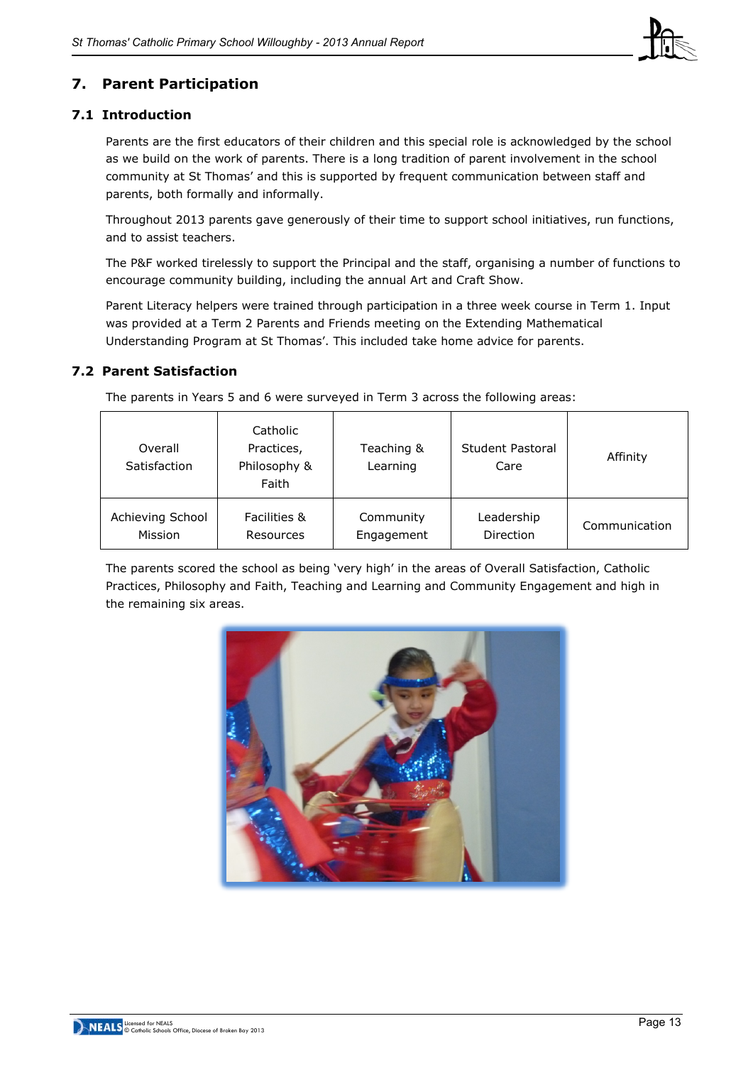

## **7. Parent Participation**

## **7.1 Introduction**

Parents are the first educators of their children and this special role is acknowledged by the school as we build on the work of parents. There is a long tradition of parent involvement in the school community at St Thomas' and this is supported by frequent communication between staff and parents, both formally and informally.

Throughout 2013 parents gave generously of their time to support school initiatives, run functions, and to assist teachers.

The P&F worked tirelessly to support the Principal and the staff, organising a number of functions to encourage community building, including the annual Art and Craft Show.

Parent Literacy helpers were trained through participation in a three week course in Term 1. Input was provided at a Term 2 Parents and Friends meeting on the Extending Mathematical Understanding Program at St Thomas'. This included take home advice for parents.

## **7.2 Parent Satisfaction**

The parents in Years 5 and 6 were surveyed in Term 3 across the following areas:

| Overall<br>Satisfaction | Catholic<br>Practices,<br>Philosophy &<br>Faith | Teaching &<br>Learning | Student Pastoral<br>Care | Affinity      |
|-------------------------|-------------------------------------------------|------------------------|--------------------------|---------------|
| Achieving School        | Facilities &                                    | Community              | Leadership               | Communication |
| Mission                 | Resources                                       | Engagement             | Direction                |               |

The parents scored the school as being 'very high' in the areas of Overall Satisfaction, Catholic Practices, Philosophy and Faith, Teaching and Learning and Community Engagement and high in the remaining six areas.